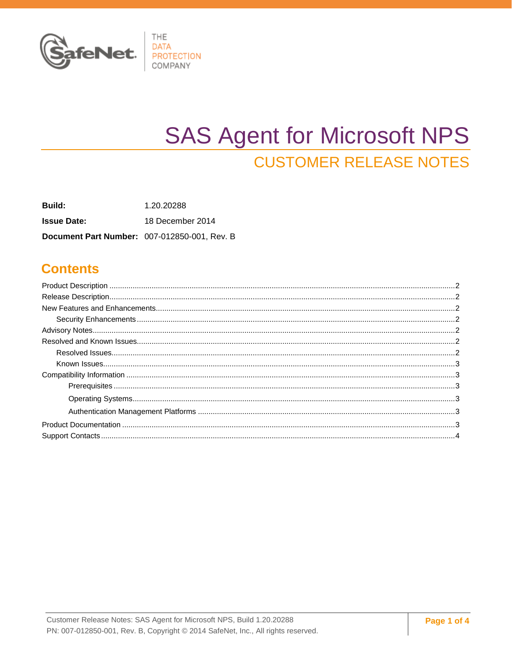

# **SAS Agent for Microsoft NPS CUSTOMER RELEASE NOTES**

**Build:** 1.20.20288 **Issue Date:** 18 December 2014 Document Part Number: 007-012850-001, Rev. B

#### **Contents**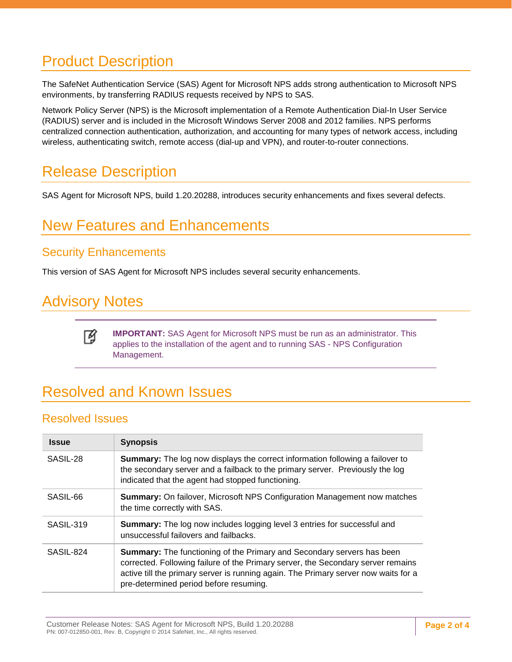### <span id="page-1-0"></span>Product Description

The SafeNet Authentication Service (SAS) Agent for Microsoft NPS adds strong authentication to Microsoft NPS environments, by transferring RADIUS requests received by NPS to SAS.

Network Policy Server (NPS) is the Microsoft implementation of a Remote Authentication Dial-In User Service (RADIUS) server and is included in the Microsoft Windows Server 2008 and 2012 families. NPS performs centralized connection authentication, authorization, and accounting for many types of network access, including wireless, authenticating switch, remote access (dial-up and VPN), and router-to-router connections.

### <span id="page-1-1"></span>Release Description

SAS Agent for Microsoft NPS, build 1.20.20288, introduces security enhancements and fixes several defects.

## <span id="page-1-2"></span>New Features and Enhancements

#### <span id="page-1-3"></span>Security Enhancements

This version of SAS Agent for Microsoft NPS includes several security enhancements.

### <span id="page-1-4"></span>Advisory Notes

网

**IMPORTANT:** SAS Agent for Microsoft NPS must be run as an administrator. This applies to the installation of the agent and to running SAS - NPS Configuration Management.

# <span id="page-1-5"></span>Resolved and Known Issues

#### <span id="page-1-6"></span>Resolved Issues

| <b>Issue</b> | <b>Synopsis</b>                                                                                                                                                                                                                                                                                    |  |  |
|--------------|----------------------------------------------------------------------------------------------------------------------------------------------------------------------------------------------------------------------------------------------------------------------------------------------------|--|--|
| SASIL-28     | <b>Summary:</b> The log now displays the correct information following a failover to<br>the secondary server and a failback to the primary server. Previously the log<br>indicated that the agent had stopped functioning.                                                                         |  |  |
| SASIL-66     | <b>Summary:</b> On failover, Microsoft NPS Configuration Management now matches<br>the time correctly with SAS.                                                                                                                                                                                    |  |  |
| SASIL-319    | <b>Summary:</b> The log now includes logging level 3 entries for successful and<br>unsuccessful failovers and failbacks.                                                                                                                                                                           |  |  |
| SASIL-824    | <b>Summary:</b> The functioning of the Primary and Secondary servers has been<br>corrected. Following failure of the Primary server, the Secondary server remains<br>active till the primary server is running again. The Primary server now waits for a<br>pre-determined period before resuming. |  |  |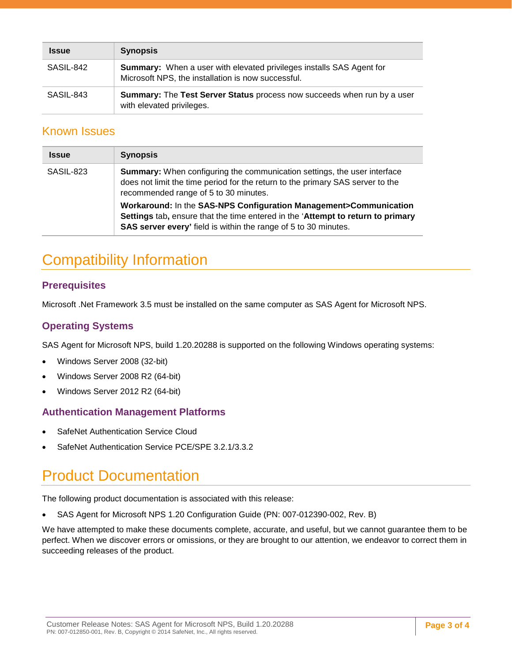| <b>Issue</b> | <b>Synopsis</b>                                                                                                                   |
|--------------|-----------------------------------------------------------------------------------------------------------------------------------|
| SASIL-842    | <b>Summary:</b> When a user with elevated privileges installs SAS Agent for<br>Microsoft NPS, the installation is now successful. |
| SASIL-843    | Summary: The Test Server Status process now succeeds when run by a user<br>with elevated privileges.                              |

#### <span id="page-2-0"></span>Known Issues

| <b>Issue</b> | <b>Synopsis</b>                                                                                                                                                                                                         |  |
|--------------|-------------------------------------------------------------------------------------------------------------------------------------------------------------------------------------------------------------------------|--|
| SASIL-823    | <b>Summary:</b> When configuring the communication settings, the user interface<br>does not limit the time period for the return to the primary SAS server to the<br>recommended range of 5 to 30 minutes.              |  |
|              | Workaround: In the SAS-NPS Configuration Management>Communication<br>Settings tab, ensure that the time entered in the 'Attempt to return to primary<br>SAS server every' field is within the range of 5 to 30 minutes. |  |

# <span id="page-2-1"></span>Compatibility Information

#### <span id="page-2-2"></span>**Prerequisites**

Microsoft .Net Framework 3.5 must be installed on the same computer as SAS Agent for Microsoft NPS.

#### <span id="page-2-3"></span>**Operating Systems**

SAS Agent for Microsoft NPS, build 1.20.20288 is supported on the following Windows operating systems:

- Windows Server 2008 (32-bit)
- Windows Server 2008 R2 (64-bit)
- Windows Server 2012 R2 (64-bit)

#### <span id="page-2-4"></span>**Authentication Management Platforms**

- SafeNet Authentication Service Cloud
- SafeNet Authentication Service PCE/SPE 3.2.1/3.3.2

### <span id="page-2-5"></span>Product Documentation

The following product documentation is associated with this release:

• SAS Agent for Microsoft NPS 1.20 Configuration Guide (PN: 007-012390-002, Rev. B)

We have attempted to make these documents complete, accurate, and useful, but we cannot guarantee them to be perfect. When we discover errors or omissions, or they are brought to our attention, we endeavor to correct them in succeeding releases of the product.